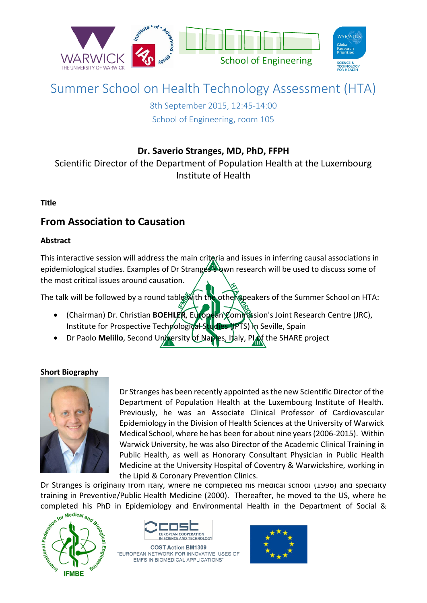

# Summer School on Health Technology Assessment (HTA)

8th September 2015, 12:45-14:00 School of Engineering, room 105

### **Dr. Saverio Stranges, MD, PhD, FFPH**

Scientific Director of the Department of Population Health at the Luxembourg Institute of Health

### **Title**

## **From Association to Causation**

### **Abstract**

This interactive session will address the main criteria and issues in inferring causal associations in epidemiological studies. Examples of Dr Stranges's own research will be used to discuss some of the most critical issues around causation.

The talk will be followed by a round table with the other speakers of the Summer School on HTA:

- (Chairman) Dr. Christian **BOEHLER**, European Commission's Joint Research Centre (JRC), Institute for Prospective Technological Studies (IPTS) in Seville, Spain
- **•** Dr Paolo **Melillo**, Second University of Naples, Italy, PIOf the SHARE project

### **Short Biography**



Dr Stranges has been recently appointed as the new Scientific Director of the Department of Population Health at the Luxembourg Institute of Health. Previously, he was an Associate Clinical Professor of Cardiovascular Epidemiology in the Division of Health Sciences at the University of Warwick Medical School, where he has been for about nine years (2006-2015). Within Warwick University, he was also Director of the Academic Clinical Training in Public Health, as well as Honorary Consultant Physician in Public Health Medicine at the University Hospital of Coventry & Warwickshire, working in the Lipid & Coronary Prevention Clinics.

Dr Stranges is originally from Italy, where he completed his medical school (1996) and specialty<br>training in Preventive/Public Health Medicine (2000). Thereafter, he moved to the US, where he<br>completed his PhD in Epidemio training in Preventive/Public Health Medicine (2000). Thereafter, he moved to the US, where he completed his PhD in Epidemiology and Environmental Health in the Department of Social &





**COST Action BM1309** "EUROPEAN NETWORK FOR INNOVATIVE USES OF EMFS IN BIOMEDICAL APPLICATIONS'